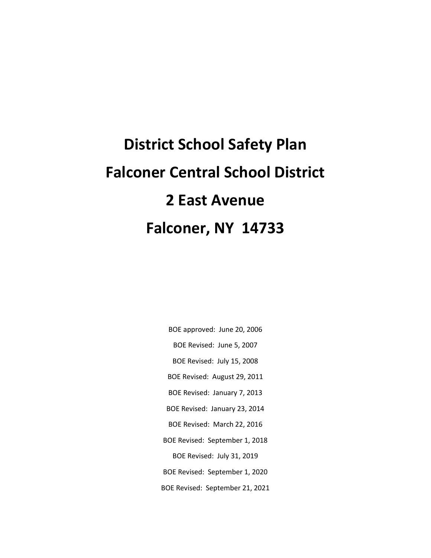## **District School Safety Plan Falconer Central School District 2 East Avenue Falconer, NY 14733**

- BOE approved: June 20, 2006
- BOE Revised: June 5, 2007
- BOE Revised: July 15, 2008
- BOE Revised: August 29, 2011
- BOE Revised: January 7, 2013
- BOE Revised: January 23, 2014
- BOE Revised: March 22, 2016
- BOE Revised: September 1, 2018 BOE Revised: July 31, 2019
- BOE Revised: September 1, 2020
- BOE Revised: September 21, 2021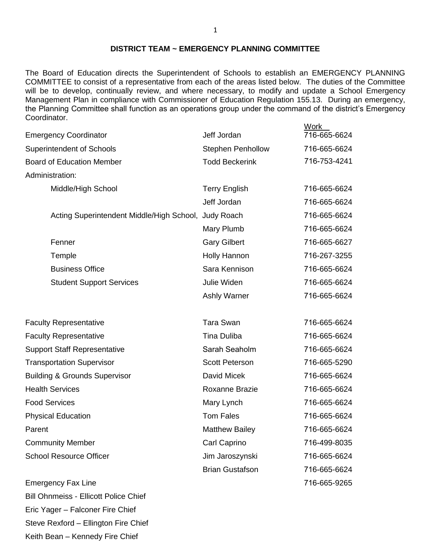#### **DISTRICT TEAM ~ EMERGENCY PLANNING COMMITTEE**

The Board of Education directs the Superintendent of Schools to establish an EMERGENCY PLANNING COMMITTEE to consist of a representative from each of the areas listed below. The duties of the Committee will be to develop, continually review, and where necessary, to modify and update a School Emergency Management Plan in compliance with Commissioner of Education Regulation 155.13. During an emergency, the Planning Committee shall function as an operations group under the command of the district's Emergency Coordinator.

Work

| <b>Emergency Coordinator</b>                         | Jeff Jordan              | 716-665-6624 |
|------------------------------------------------------|--------------------------|--------------|
| <b>Superintendent of Schools</b>                     | <b>Stephen Penhollow</b> | 716-665-6624 |
| <b>Board of Education Member</b>                     | <b>Todd Beckerink</b>    | 716-753-4241 |
| Administration:                                      |                          |              |
| Middle/High School                                   | <b>Terry English</b>     | 716-665-6624 |
|                                                      | Jeff Jordan              | 716-665-6624 |
| Acting Superintendent Middle/High School, Judy Roach |                          | 716-665-6624 |
|                                                      | Mary Plumb               | 716-665-6624 |
| Fenner                                               | <b>Gary Gilbert</b>      | 716-665-6627 |
| Temple                                               | <b>Holly Hannon</b>      | 716-267-3255 |
| <b>Business Office</b>                               | Sara Kennison            | 716-665-6624 |
| <b>Student Support Services</b>                      | Julie Widen              | 716-665-6624 |
|                                                      | Ashly Warner             | 716-665-6624 |
| <b>Faculty Representative</b>                        | <b>Tara Swan</b>         | 716-665-6624 |
| <b>Faculty Representative</b>                        | <b>Tina Duliba</b>       | 716-665-6624 |
| <b>Support Staff Representative</b>                  | Sarah Seaholm            | 716-665-6624 |
| <b>Transportation Supervisor</b>                     | <b>Scott Peterson</b>    | 716-665-5290 |
| <b>Building &amp; Grounds Supervisor</b>             | David Micek              | 716-665-6624 |
| <b>Health Services</b>                               | Roxanne Brazie           | 716-665-6624 |
| <b>Food Services</b>                                 | Mary Lynch               | 716-665-6624 |
| <b>Physical Education</b>                            | <b>Tom Fales</b>         | 716-665-6624 |
| Parent                                               | <b>Matthew Bailey</b>    | 716-665-6624 |
| <b>Community Member</b>                              | Carl Caprino             | 716-499-8035 |
| <b>School Resource Officer</b>                       | Jim Jaroszynski          | 716-665-6624 |
|                                                      | <b>Brian Gustafson</b>   | 716-665-6624 |
| <b>Emergency Fax Line</b>                            |                          | 716-665-9265 |

Bill Ohnmeiss - Ellicott Police Chief Eric Yager – Falconer Fire Chief Steve Rexford – Ellington Fire Chief Keith Bean – Kennedy Fire Chief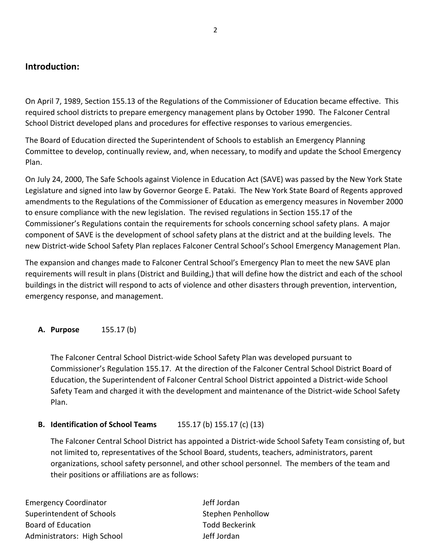#### **Introduction:**

On April 7, 1989, Section 155.13 of the Regulations of the Commissioner of Education became effective. This required school districts to prepare emergency management plans by October 1990. The Falconer Central School District developed plans and procedures for effective responses to various emergencies.

The Board of Education directed the Superintendent of Schools to establish an Emergency Planning Committee to develop, continually review, and, when necessary, to modify and update the School Emergency Plan.

On July 24, 2000, The Safe Schools against Violence in Education Act (SAVE) was passed by the New York State Legislature and signed into law by Governor George E. Pataki. The New York State Board of Regents approved amendments to the Regulations of the Commissioner of Education as emergency measures in November 2000 to ensure compliance with the new legislation. The revised regulations in Section 155.17 of the Commissioner's Regulations contain the requirements for schools concerning school safety plans. A major component of SAVE is the development of school safety plans at the district and at the building levels. The new District-wide School Safety Plan replaces Falconer Central School's School Emergency Management Plan.

The expansion and changes made to Falconer Central School's Emergency Plan to meet the new SAVE plan requirements will result in plans (District and Building,) that will define how the district and each of the school buildings in the district will respond to acts of violence and other disasters through prevention, intervention, emergency response, and management.

#### **A. Purpose** 155.17 (b)

The Falconer Central School District-wide School Safety Plan was developed pursuant to Commissioner's Regulation 155.17. At the direction of the Falconer Central School District Board of Education, the Superintendent of Falconer Central School District appointed a District-wide School Safety Team and charged it with the development and maintenance of the District-wide School Safety Plan.

#### **B. Identification of School Teams** 155.17 (b) 155.17 (c) (13)

The Falconer Central School District has appointed a District-wide School Safety Team consisting of, but not limited to, representatives of the School Board, students, teachers, administrators, parent organizations, school safety personnel, and other school personnel. The members of the team and their positions or affiliations are as follows:

Emergency Coordinator and The Manuscriptus and Jeff Jordan Superintendent of Schools Superintendent of Schools Stephen Penhollow Board of Education **Todd Beckerink** Administrators: High School Jeff Jordan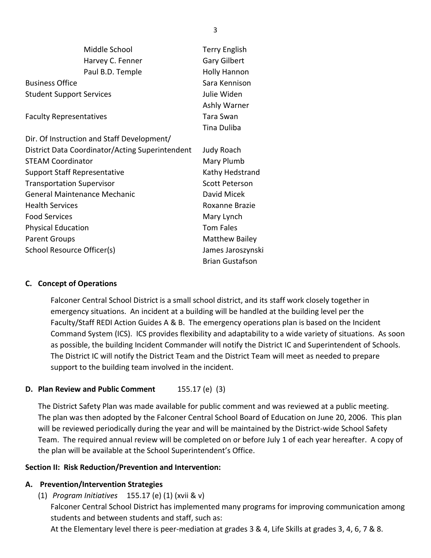|                                     | Middle School                                   | <b>Terry English</b>   |
|-------------------------------------|-------------------------------------------------|------------------------|
|                                     | Harvey C. Fenner                                | <b>Gary Gilbert</b>    |
|                                     | Paul B.D. Temple                                | <b>Holly Hannon</b>    |
| <b>Business Office</b>              |                                                 | Sara Kennison          |
| <b>Student Support Services</b>     |                                                 | Julie Widen            |
|                                     |                                                 | Ashly Warner           |
| <b>Faculty Representatives</b>      |                                                 | Tara Swan              |
|                                     |                                                 | Tina Duliba            |
|                                     | Dir. Of Instruction and Staff Development/      |                        |
|                                     | District Data Coordinator/Acting Superintendent | <b>Judy Roach</b>      |
| <b>STEAM Coordinator</b>            |                                                 | Mary Plumb             |
| <b>Support Staff Representative</b> |                                                 | Kathy Hedstrand        |
| <b>Transportation Supervisor</b>    |                                                 | <b>Scott Peterson</b>  |
| <b>General Maintenance Mechanic</b> |                                                 | David Micek            |
| <b>Health Services</b>              |                                                 | Roxanne Brazie         |
| <b>Food Services</b>                |                                                 | Mary Lynch             |
| <b>Physical Education</b>           |                                                 | <b>Tom Fales</b>       |
| <b>Parent Groups</b>                |                                                 | <b>Matthew Bailey</b>  |
| School Resource Officer(s)          |                                                 | James Jaroszynski      |
|                                     |                                                 | <b>Brian Gustafson</b> |

#### **C. Concept of Operations**

Falconer Central School District is a small school district, and its staff work closely together in emergency situations. An incident at a building will be handled at the building level per the Faculty/Staff REDI Action Guides A & B. The emergency operations plan is based on the Incident Command System (ICS). ICS provides flexibility and adaptability to a wide variety of situations. As soon as possible, the building Incident Commander will notify the District IC and Superintendent of Schools. The District IC will notify the District Team and the District Team will meet as needed to prepare support to the building team involved in the incident.

#### **D. Plan Review and Public Comment** 155.17 (e) (3)

The District Safety Plan was made available for public comment and was reviewed at a public meeting. The plan was then adopted by the Falconer Central School Board of Education on June 20, 2006. This plan will be reviewed periodically during the year and will be maintained by the District-wide School Safety Team. The required annual review will be completed on or before July 1 of each year hereafter. A copy of the plan will be available at the School Superintendent's Office.

#### **Section II: Risk Reduction/Prevention and Intervention:**

#### **A. Prevention/Intervention Strategies**

(1) *Program Initiatives* 155.17 (e) (1) (xvii & v)

Falconer Central School District has implemented many programs for improving communication among students and between students and staff, such as:

At the Elementary level there is peer-mediation at grades 3 & 4, Life Skills at grades 3, 4, 6, 7 & 8.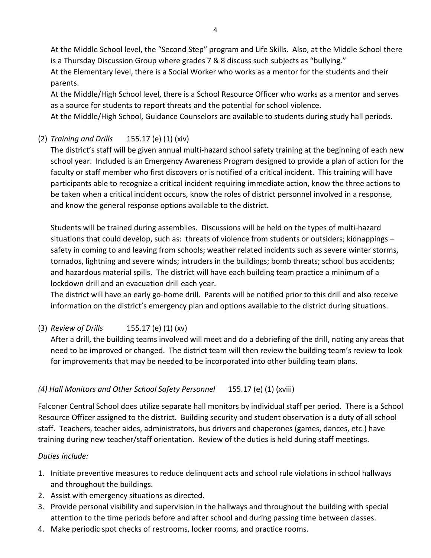At the Middle School level, the "Second Step" program and Life Skills. Also, at the Middle School there is a Thursday Discussion Group where grades 7 & 8 discuss such subjects as "bullying." At the Elementary level, there is a Social Worker who works as a mentor for the students and their parents.

At the Middle/High School level, there is a School Resource Officer who works as a mentor and serves as a source for students to report threats and the potential for school violence.

At the Middle/High School, Guidance Counselors are available to students during study hall periods.

#### (2) *Training and Drills* 155.17 (e) (1) (xiv)

The district's staff will be given annual multi-hazard school safety training at the beginning of each new school year. Included is an Emergency Awareness Program designed to provide a plan of action for the faculty or staff member who first discovers or is notified of a critical incident. This training will have participants able to recognize a critical incident requiring immediate action, know the three actions to be taken when a critical incident occurs, know the roles of district personnel involved in a response, and know the general response options available to the district.

Students will be trained during assemblies. Discussions will be held on the types of multi-hazard situations that could develop, such as: threats of violence from students or outsiders; kidnappings – safety in coming to and leaving from schools; weather related incidents such as severe winter storms, tornados, lightning and severe winds; intruders in the buildings; bomb threats; school bus accidents; and hazardous material spills. The district will have each building team practice a minimum of a lockdown drill and an evacuation drill each year.

The district will have an early go-home drill. Parents will be notified prior to this drill and also receive information on the district's emergency plan and options available to the district during situations.

#### (3) *Review of Drills* 155.17 (e) (1) (xv)

After a drill, the building teams involved will meet and do a debriefing of the drill, noting any areas that need to be improved or changed. The district team will then review the building team's review to look for improvements that may be needed to be incorporated into other building team plans.

#### *(4) Hall Monitors and Other School Safety Personnel* 155.17 (e) (1) (xviii)

Falconer Central School does utilize separate hall monitors by individual staff per period. There is a School Resource Officer assigned to the district. Building security and student observation is a duty of all school staff. Teachers, teacher aides, administrators, bus drivers and chaperones (games, dances, etc.) have training during new teacher/staff orientation. Review of the duties is held during staff meetings.

#### *Duties include:*

- 1. Initiate preventive measures to reduce delinquent acts and school rule violations in school hallways and throughout the buildings.
- 2. Assist with emergency situations as directed.
- 3. Provide personal visibility and supervision in the hallways and throughout the building with special attention to the time periods before and after school and during passing time between classes.
- 4. Make periodic spot checks of restrooms, locker rooms, and practice rooms.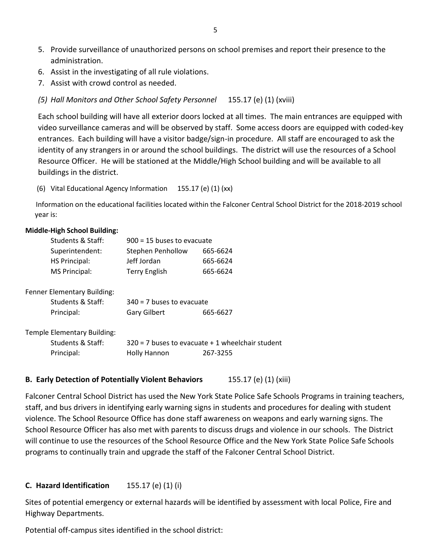- 5. Provide surveillance of unauthorized persons on school premises and report their presence to the administration.
- 6. Assist in the investigating of all rule violations.
- 7. Assist with crowd control as needed.
- *(5) Hall Monitors and Other School Safety Personnel* 155.17 (e) (1) (xviii)

Each school building will have all exterior doors locked at all times. The main entrances are equipped with video surveillance cameras and will be observed by staff. Some access doors are equipped with coded-key entrances. Each building will have a visitor badge/sign-in procedure. All staff are encouraged to ask the identity of any strangers in or around the school buildings. The district will use the resources of a School Resource Officer. He will be stationed at the Middle/High School building and will be available to all buildings in the district.

(6) Vital Educational Agency Information 155.17 (e) (1) (xx)

 Information on the educational facilities located within the Falconer Central School District for the 2018-2019 school year is:

#### **Middle-High School Building:**

| Students & Staff: | $900 = 15$ buses to evacuate |          |
|-------------------|------------------------------|----------|
| Superintendent:   | <b>Stephen Penhollow</b>     | 665-6624 |
| HS Principal:     | Jeff Jordan                  | 665-6624 |
| MS Principal:     | <b>Terry English</b>         | 665-6624 |
|                   |                              |          |

| Fenner Elementary Building: |                             |          |
|-----------------------------|-----------------------------|----------|
| Students & Staff:           | $340 = 7$ buses to evacuate |          |
| Principal:                  | Gary Gilbert                | 665-6627 |

Temple Elementary Building:

| Students & Staff: |              | $320 = 7$ buses to evacuate $+1$ wheelchair student |
|-------------------|--------------|-----------------------------------------------------|
| Principal:        | Holly Hannon | 267-3255                                            |

#### **B. Early Detection of Potentially Violent Behaviors** 155.17 (e) (1) (xiii)

Falconer Central School District has used the New York State Police Safe Schools Programs in training teachers, staff, and bus drivers in identifying early warning signs in students and procedures for dealing with student violence. The School Resource Office has done staff awareness on weapons and early warning signs. The School Resource Officer has also met with parents to discuss drugs and violence in our schools. The District will continue to use the resources of the School Resource Office and the New York State Police Safe Schools programs to continually train and upgrade the staff of the Falconer Central School District.

#### **C. Hazard Identification** 155.17 (e) (1) (i)

Sites of potential emergency or external hazards will be identified by assessment with local Police, Fire and Highway Departments.

Potential off-campus sites identified in the school district: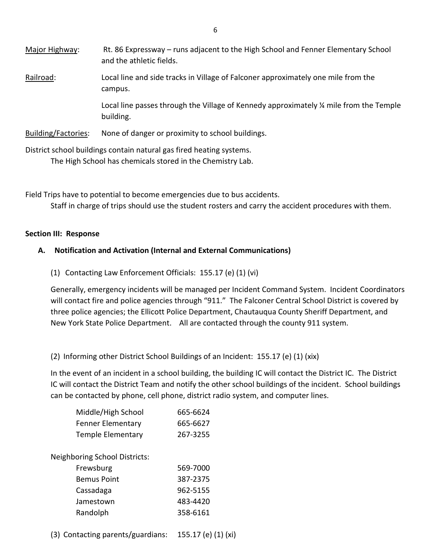| Major Highway:             | Rt. 86 Expressway – runs adjacent to the High School and Fenner Elementary School<br>and the athletic fields. |
|----------------------------|---------------------------------------------------------------------------------------------------------------|
| Railroad:                  | Local line and side tracks in Village of Falconer approximately one mile from the<br>campus.                  |
|                            | Local line passes through the Village of Kennedy approximately ¼ mile from the Temple<br>building.            |
| <b>Building/Factories:</b> | None of danger or proximity to school buildings.                                                              |

District school buildings contain natural gas fired heating systems. The High School has chemicals stored in the Chemistry Lab.

Field Trips have to potential to become emergencies due to bus accidents.

Staff in charge of trips should use the student rosters and carry the accident procedures with them.

#### **Section III: Response**

#### **A. Notification and Activation (Internal and External Communications)**

(1) Contacting Law Enforcement Officials: 155.17 (e) (1) (vi)

Generally, emergency incidents will be managed per Incident Command System. Incident Coordinators will contact fire and police agencies through "911." The Falconer Central School District is covered by three police agencies; the Ellicott Police Department, Chautauqua County Sheriff Department, and New York State Police Department. All are contacted through the county 911 system.

(2) Informing other District School Buildings of an Incident: 155.17 (e) (1) (xix)

In the event of an incident in a school building, the building IC will contact the District IC. The District IC will contact the District Team and notify the other school buildings of the incident. School buildings can be contacted by phone, cell phone, district radio system, and computer lines.

| Middle/High School       | 665-6624 |
|--------------------------|----------|
| <b>Fenner Elementary</b> | 665-6627 |
| <b>Temple Elementary</b> | 267-3255 |

Neighboring School Districts:

| Frewsburg          | 569-7000 |
|--------------------|----------|
| <b>Bemus Point</b> | 387-2375 |
| Cassadaga          | 962-5155 |
| Jamestown          | 483-4420 |
| Randolph           | 358-6161 |

(3) Contacting parents/guardians: 155.17 (e) (1) (xi)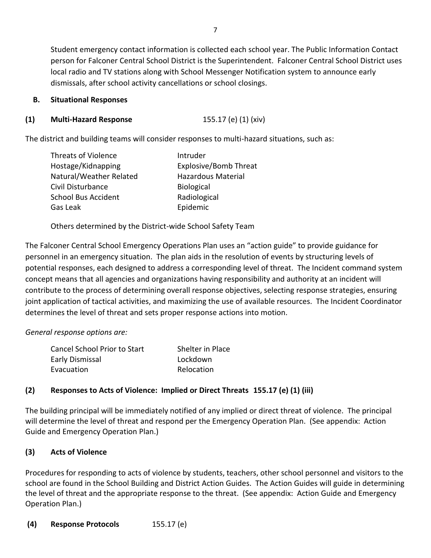Student emergency contact information is collected each school year. The Public Information Contact person for Falconer Central School District is the Superintendent. Falconer Central School District uses local radio and TV stations along with School Messenger Notification system to announce early dismissals, after school activity cancellations or school closings.

#### **B. Situational Responses**

#### **(1) Multi-Hazard Response** 155.17 (e) (1) (xiv)

The district and building teams will consider responses to multi-hazard situations, such as:

| Intruder                     |
|------------------------------|
| <b>Explosive/Bomb Threat</b> |
| <b>Hazardous Material</b>    |
| <b>Biological</b>            |
| Radiological                 |
| Epidemic                     |
|                              |

Others determined by the District-wide School Safety Team

The Falconer Central School Emergency Operations Plan uses an "action guide" to provide guidance for personnel in an emergency situation. The plan aids in the resolution of events by structuring levels of potential responses, each designed to address a corresponding level of threat. The Incident command system concept means that all agencies and organizations having responsibility and authority at an incident will contribute to the process of determining overall response objectives, selecting response strategies, ensuring joint application of tactical activities, and maximizing the use of available resources. The Incident Coordinator determines the level of threat and sets proper response actions into motion.

*General response options are:*

| <b>Cancel School Prior to Start</b> | Shelter in Place |
|-------------------------------------|------------------|
| Early Dismissal                     | Lockdown         |
| Evacuation                          | Relocation       |

#### **(2) Responses to Acts of Violence: Implied or Direct Threats 155.17 (e) (1) (iii)**

The building principal will be immediately notified of any implied or direct threat of violence. The principal will determine the level of threat and respond per the Emergency Operation Plan. (See appendix: Action Guide and Emergency Operation Plan.)

#### **(3) Acts of Violence**

Procedures for responding to acts of violence by students, teachers, other school personnel and visitors to the school are found in the School Building and District Action Guides. The Action Guides will guide in determining the level of threat and the appropriate response to the threat. (See appendix: Action Guide and Emergency Operation Plan.)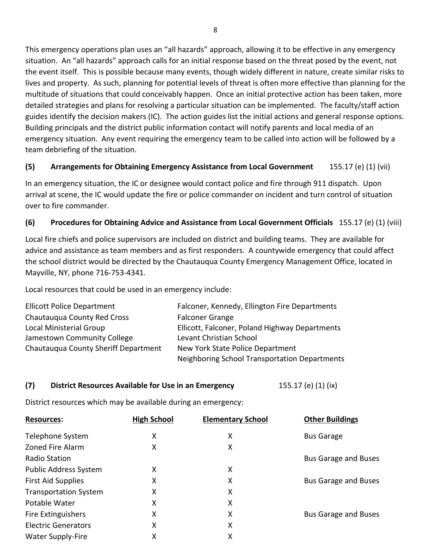This emergency operations plan uses an "all hazards" approach, allowing it to be effective in any emergency situation. An "all hazards" approach calls for an initial response based on the threat posed by the event, not the event itself. This is possible because many events, though widely different in nature, create similar risks to lives and property. As such, planning for potential levels of threat is often more effective than planning for the multitude of situations that could conceivably happen. Once an initial protective action has been taken, more detailed strategies and plans for resolving a particular situation can be implemented. The faculty/staff action guides identify the decision makers (IC). The action guides list the initial actions and general response options. Building principals and the district public information contact will notify parents and local media of an emergency situation. Any event requiring the emergency team to be called into action will be followed by a team debriefing of the situation.

#### **(5) Arrangements for Obtaining Emergency Assistance from Local Government** 155.17 (e) (1) (vii)

In an emergency situation, the IC or designee would contact police and fire through 911 dispatch. Upon arrival at scene, the IC would update the fire or police commander on incident and turn control of situation over to fire commander.

#### **(6) Procedures for Obtaining Advice and Assistance from Local Government Officials** 155.17 (e) (1) (viii)

Local fire chiefs and police supervisors are included on district and building teams. They are available for advice and assistance as team members and as first responders. A countywide emergency that could affect the school district would be directed by the Chautauqua County Emergency Management Office, located in Mayville, NY, phone 716-753-4341.

Local resources that could be used in an emergency include:

| <b>Ellicott Police Department</b>    | Falconer, Kennedy, Ellington Fire Departments  |
|--------------------------------------|------------------------------------------------|
| Chautauqua County Red Cross          | <b>Falconer Grange</b>                         |
| Local Ministerial Group              | Ellicott, Falconer, Poland Highway Departments |
| Jamestown Community College          | Levant Christian School                        |
| Chautauqua County Sheriff Department | New York State Police Department               |
|                                      | Neighboring School Transportation Departments  |

#### **(7) District Resources Available for Use in an Emergency** 155.17 (e) (1) (ix)

District resources which may be available during an emergency:

| <b>Resources:</b>            | <b>High School</b> | <b>Elementary School</b> | <b>Other Buildings</b>      |
|------------------------------|--------------------|--------------------------|-----------------------------|
| Telephone System             | х                  | х                        | <b>Bus Garage</b>           |
| <b>Zoned Fire Alarm</b>      | x                  | X                        |                             |
| <b>Radio Station</b>         |                    |                          | <b>Bus Garage and Buses</b> |
| <b>Public Address System</b> | χ                  | X                        |                             |
| <b>First Aid Supplies</b>    | χ                  | X                        | <b>Bus Garage and Buses</b> |
| <b>Transportation System</b> | Χ                  | X                        |                             |
| Potable Water                | Χ                  | х                        |                             |
| Fire Extinguishers           | х                  | X                        | <b>Bus Garage and Buses</b> |
| <b>Electric Generators</b>   | χ                  | x                        |                             |
| <b>Water Supply-Fire</b>     | χ                  | x                        |                             |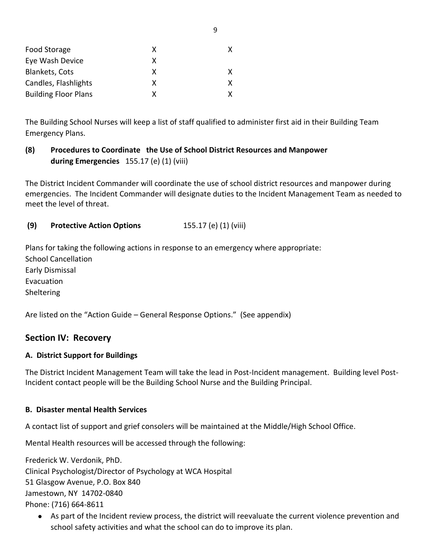| Food Storage                | x |   |
|-----------------------------|---|---|
| Eye Wash Device             | x |   |
| <b>Blankets, Cots</b>       | x | x |
| Candles, Flashlights        | x | X |
| <b>Building Floor Plans</b> |   |   |

The Building School Nurses will keep a list of staff qualified to administer first aid in their Building Team Emergency Plans.

#### **(8) Procedures to Coordinate the Use of School District Resources and Manpower during Emergencies** 155.17 (e) (1) (viii)

The District Incident Commander will coordinate the use of school district resources and manpower during emergencies. The Incident Commander will designate duties to the Incident Management Team as needed to meet the level of threat.

**(9) Protective Action Options** 155.17 (e) (1) (viii)

Plans for taking the following actions in response to an emergency where appropriate: School Cancellation Early Dismissal Evacuation Sheltering

Are listed on the "Action Guide – General Response Options." (See appendix)

#### **Section IV: Recovery**

#### **A. District Support for Buildings**

The District Incident Management Team will take the lead in Post-Incident management. Building level Post-Incident contact people will be the Building School Nurse and the Building Principal.

#### **B. Disaster mental Health Services**

A contact list of support and grief consolers will be maintained at the Middle/High School Office.

Mental Health resources will be accessed through the following:

Frederick W. Verdonik, PhD.

Clinical Psychologist/Director of Psychology at WCA Hospital

51 Glasgow Avenue, P.O. Box 840

Jamestown, NY 14702-0840

Phone: (716) 664-8611

 As part of the Incident review process, the district will reevaluate the current violence prevention and school safety activities and what the school can do to improve its plan.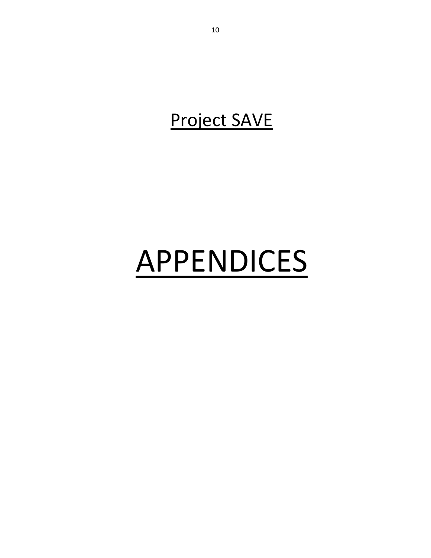### Project SAVE

# APPENDICES